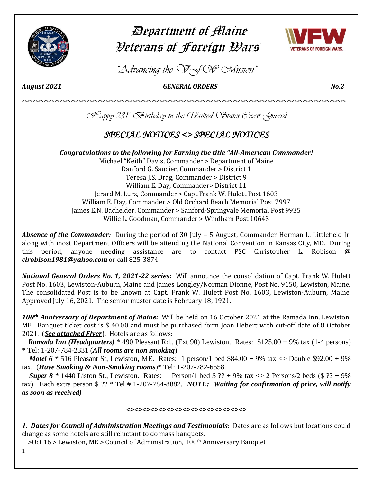

# Department of Maine Veterans of Foreign Wars



*"Advancing the VFW Mission"*

*August 2021 GENERAL ORDERS No.2* 

*Happy 231st Birthday to the United States Coast Guard*

<><><><><><><><><><><><><><><><><><><><><><><><><><><><><><><><><><><><><><><><><><><><><><><><><><><><><><><><><><><><>

# *SPECIAL NOTICES <> SPECIAL NOTICES*

*Congratulations to the following for Earning the title "All-American Commander!* Michael "Keith" Davis, Commander > Department of Maine Danford G. Saucier, Commander > District 1 Teresa J.S. Drag, Commander > District 9 William E. Day, Commander> District 11 Jerard M. Lurz, Commander > Capt Frank W. Hulett Post 1603 William E. Day, Commander > Old Orchard Beach Memorial Post 7997 James E.N. Bachelder, Commander > Sanford-Springvale Memorial Post 9935 Willie L. Goodman, Commander > Windham Post 10643

*Absence of the Commander:* During the period of 30 July – 5 August, Commander Herman L. Littlefield Jr. along with most Department Officers will be attending the National Convention in Kansas City, MD. During this period, anyone needing assistance are to contact PSC Christopher L. Robison @ *[clrobison1981@yahoo.com](mailto:clrobison1981@yahoo.com)* or call 825-3874.

*National General Orders No. 1, 2021-22 series:* Will announce the consolidation of Capt. Frank W. Hulett Post No. 1603, Lewiston-Auburn, Maine and James Longley/Norman Dionne, Post No. 9150, Lewiston, Maine. The consolidated Post is to be known at Capt. Frank W. Hulett Post No. 1603, Lewiston-Auburn, Maine. Approved July 16, 2021. The senior muster date is February 18, 1921.

*100th Anniversary of Department of Maine:* Will be held on 16 October 2021 at the Ramada Inn, Lewiston, ME. Banquet ticket cost is \$ 40.00 and must be purchased form Joan Hebert with cut-off date of 8 October 2021. (*See attached Flyer*). Hotels are as follows:

 *Ramada Inn (Headquarters)* \* 490 Pleasant Rd., (Ext 90) Lewiston. Rates: \$125.00 + 9% tax (1-4 persons) \* Tel: 1-207-784-2331 (*All rooms are non smoking*)

*Motel 6*  $*$  516 Pleasant St, Lewiston, ME. Rates: 1 person/1 bed \$84.00 + 9% tax  $\langle$  Double \$92.00 + 9% tax. (*Have Smoking & Non-Smoking rooms*)\* Tel: 1-207-782-6558.

*Super 8* \* 1440 Liston St., Lewiston. Rates: 1 Person/1 bed  $$ ?? + 9%$  tax  $\langle 2 \rangle$  Persons/2 beds (\$ ?? + 9%) tax). Each extra person \$ ?? \* Tel # 1-207-784-8882. *NOTE: Waiting for confirmation of price, will notify as soon as received)* 

# *<><><><><><><><><><><><><><><>*

*1. Dates for Council of Administration Meetings and Testimonials:* Dates are as follows but locations could change as some hotels are still reluctant to do mass banquets.

>Oct 16 > Lewiston, ME > Council of Administration, 100<sup>th</sup> Anniversary Banquet

1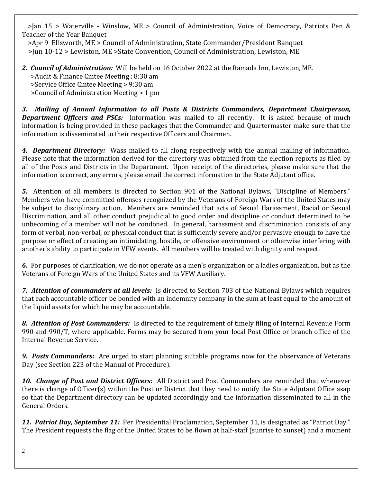>Jan 15 > Waterville - Winslow, ME > Council of Administration, Voice of Democracy, Patriots Pen & Teacher of the Year Banquet

 >Apr 9 Ellsworth, ME > Council of Administration, State Commander/President Banquet >Jun 10-12 > Lewiston, ME >State Convention, Council of Administration, Lewiston, ME

# *2. Council of Administration:* Will be held on 16 October 2022 at the Ramada Inn, Lewiston, ME. >Audit & Finance Cmtee Meeting : 8:30 am >Service Office Cmtee Meeting > 9:30 am >Council of Administration Meeting > 1 pm

*3. Mailing of Annual Information to all Posts & Districts Commanders, Department Chairperson,*  **Department Officers and PSCs:** Information was mailed to all recently. It is asked because of much information is being provided in these packages that the Commander and Quartermaster make sure that the information is disseminated to their respective Officers and Chairmen.

*4. Department Directory:* Wass mailed to all along respectively with the annual mailing of information. Please note that the information derived for the directory was obtained from the election reports as filed by all of the Posts and Districts in the Department. Upon receipt of the directories, please make sure that the information is correct, any errors, please email the correct information to the State Adjutant office.

*5.* Attention of all members is directed to Section 901 of the National Bylaws, "Discipline of Members." Members who have committed offenses recognized by the Veterans of Foreign Wars of the United States may be subject to disciplinary action. Members are reminded that acts of Sexual Harassment, Racial or Sexual Discrimination, and all other conduct prejudicial to good order and discipline or conduct determined to be unbecoming of a member will not be condoned. In general, harassment and discrimination consists of any form of verbal, non-verbal, or physical conduct that is sufficiently severe and/or pervasive enough to have the purpose or effect of creating an intimidating, hostile, or offensive environment or otherwise interfering with another's ability to participate in VFW events. All members will be treated with dignity and respect.

*6.* For purposes of clarification, we do not operate as a men's organization or a ladies organization, but as the Veterans of Foreign Wars of the United States and its VFW Auxiliary.

*7. Attention of commanders at all levels:* Is directed to Section 703 of the National Bylaws which requires that each accountable officer be bonded with an indemnity company in the sum at least equal to the amount of the liquid assets for which he may be accountable.

*8. Attention of Post Commanders:* Is directed to the requirement of timely filing of Internal Revenue Form 990 and 990/T, where applicable. Forms may be secured from your local Post Office or branch office of the Internal Revenue Service.

*9. Posts Commanders:* Are urged to start planning suitable programs now for the observance of Veterans Day (see Section 223 of the Manual of Procedure).

*10. Change of Post and District Officers:* All District and Post Commanders are reminded that whenever there is change of Officer(s) within the Post or District that they need to notify the State Adjutant Office asap so that the Department directory can be updated accordingly and the information disseminated to all in the General Orders.

11. Patriot Day, September 11: Per Presidential Proclamation, September 11, is designated as "Patriot Day." The President requests the flag of the United States to be flown at half-staff (sunrise to sunset) and a moment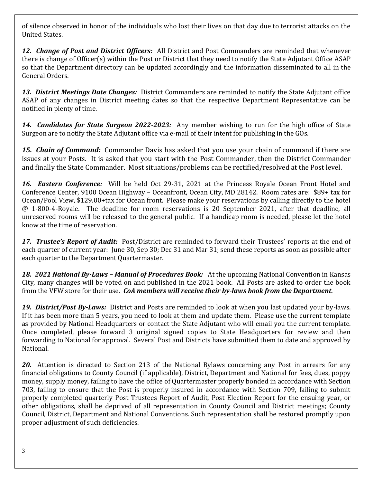of silence observed in honor of the individuals who lost their lives on that day due to terrorist attacks on the United States.

*12. Change of Post and District Officers:* All District and Post Commanders are reminded that whenever there is change of Officer(s) within the Post or District that they need to notify the State Adjutant Office ASAP so that the Department directory can be updated accordingly and the information disseminated to all in the General Orders.

*13. District Meetings Date Changes:* District Commanders are reminded to notify the State Adjutant office ASAP of any changes in District meeting dates so that the respective Department Representative can be notified in plenty of time.

*14. Candidates for State Surgeon 2022-2023:* Any member wishing to run for the high office of State Surgeon are to notify the State Adjutant office via e-mail of their intent for publishing in the GOs.

*15. Chain of Command:* Commander Davis has asked that you use your chain of command if there are issues at your Posts. It is asked that you start with the Post Commander, then the District Commander and finally the State Commander. Most situations/problems can be rectified/resolved at the Post level.

*16. Eastern Conference:* Will be held Oct 29-31, 2021 at the Princess Royale Ocean Front Hotel and Conference Center, 9100 Ocean Highway – Oceanfront, Ocean City, MD 28142. Room rates are: \$89+ tax for Ocean/Pool View, \$129.00+tax for Ocean front. Please make your reservations by calling directly to the hotel @ 1-800-4-Royale. The deadline for room reservations is 20 September 2021, after that deadline, all unreserved rooms will be released to the general public. If a handicap room is needed, please let the hotel know at the time of reservation.

*17. Trustee's Report of Audit:* Post/District are reminded to forward their Trustees' reports at the end of each quarter of current year: June 30, Sep 30; Dec 31 and Mar 31; send these reports as soon as possible after each quarter to the Department Quartermaster.

*18. 2021 National By-Laws – Manual of Procedures Book:* At the upcoming National Convention in Kansas City, many changes will be voted on and published in the 2021 book. All Posts are asked to order the book from the VFW store for their use. *CoA members will receive their by-laws book from the Department.*

*19. District/Post By-Laws:* District and Posts are reminded to look at when you last updated your by-laws. If it has been more than 5 years, you need to look at them and update them. Please use the current template as provided by National Headquarters or contact the State Adjutant who will email you the current template. Once completed, please forward 3 original signed copies to State Headquarters for review and then forwarding to National for approval. Several Post and Districts have submitted them to date and approved by National.

*20.* Attention is directed to Section 213 of the National Bylaws concerning any Post in arrears for any financial obligations to County Council (if applicable), District, Department and National for fees, dues, poppy money, supply money, failing to have the office of Quartermaster properly bonded in accordance with Section 703, failing to ensure that the Post is properly insured in accordance with Section 709, failing to submit properly completed quarterly Post Trustees Report of Audit, Post Election Report for the ensuing year, or other obligations, shall be deprived of all representation in County Council and District meetings; County Council, District, Department and National Conventions. Such representation shall be restored promptly upon proper adjustment of such deficiencies.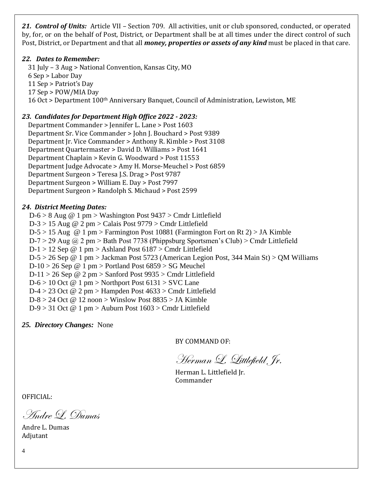*21. Control of Units:* Article VII – Section 709. All activities, unit or club sponsored, conducted, or operated by, for, or on the behalf of Post, District, or Department shall be at all times under the direct control of such Post, District, or Department and that all *money, properties or assets of any kind* must be placed in that care.

# *22. Dates to Remember:*

 31 July – 3 Aug > National Convention, Kansas City, MO 6 Sep > Labor Day 11 Sep > Patriot's Day 17 Sep > POW/MIA Day 16 Oct > Department 100<sup>th</sup> Anniversary Banquet, Council of Administration, Lewiston, ME

# *23. Candidates for Department High Office 2022 - 2023:*

 Department Commander > Jennifer L. Lane > Post 1603 Department Sr. Vice Commander > John J. Bouchard > Post 9389 Department Jr. Vice Commander > Anthony R. Kimble > Post 3108 Department Quartermaster > David D. Williams > Post 1641 Department Chaplain > Kevin G. Woodward > Post 11553 Department Judge Advocate > Amy H. Morse-Meuchel > Post 6859 Department Surgeon > Teresa J.S. Drag > Post 9787 Department Surgeon > William E. Day > Post 7997 Department Surgeon > Randolph S. Michaud > Post 2599

# *24. District Meeting Dates:*

 $D-6 > 8$  Aug @ 1 pm > Washington Post  $9437 >$  Cmdr Littlefield D-3 > 15 Aug @ 2 pm > Calais Post 9779 > Cmdr Littlefield  $D-5 > 15$  Aug @ 1 pm > Farmington Post 10881 (Farmington Fort on Rt 2) > JA Kimble  $D-7 > 29$  Aug @ 2 pm > Bath Post 7738 (Phippsburg Sportsmen's Club) > Cmdr Littlefield  $D-1 > 12$  Sep @ 1 pm > Ashland Post 6187 > Cmdr Littlefield D-5 > 26 Sep @ 1 pm > Jackman Post 5723 (American Legion Post, 344 Main St) > QM Williams  $D-10 > 26$  Sep @ 1 pm > Portland Post  $6859 > SG$  Meuchel  $D-11 > 26$  Sep @ 2 pm > Sanford Post 9935 > Cmdr Littlefield  $D-6 > 10$  Oct @ 1 pm > Northport Post  $6131 >$  SVC Lane D-4 > 23 Oct @ 2 pm > Hampden Post 4633 > Cmdr Littlefield  $D-8 > 24$  Oct @ 12 noon > Winslow Post  $8835 >$  JA Kimble D-9 > 31 Oct @ 1 pm > Auburn Post 1603 > Cmdr Littlefield

*25. Directory Changes:* None

BY COMMAND OF:

Herman L. Littlefield Jr.

Herman L. Littlefield Jr. Commander

OFFICIAL:

Andre L. Dumas

Andre L. Dumas Adjutant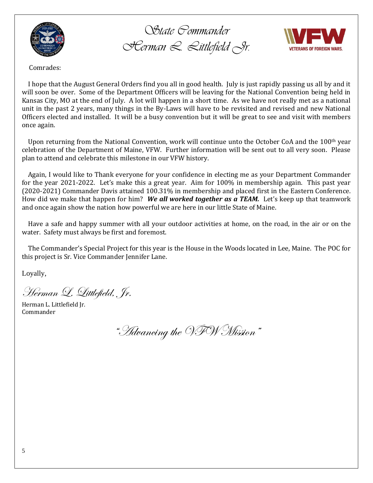

*State Commander Herman L. Littlefield Jr.*



Comrades:

 I hope that the August General Orders find you all in good health. July is just rapidly passing us all by and it will soon be over. Some of the Department Officers will be leaving for the National Convention being held in Kansas City, MO at the end of July. A lot will happen in a short time. As we have not really met as a national unit in the past 2 years, many things in the By-Laws will have to be revisited and revised and new National Officers elected and installed. It will be a busy convention but it will be great to see and visit with members once again.

Upon returning from the National Convention, work will continue unto the October CoA and the 100<sup>th</sup> year celebration of the Department of Maine, VFW. Further information will be sent out to all very soon. Please plan to attend and celebrate this milestone in our VFW history.

 Again, I would like to Thank everyone for your confidence in electing me as your Department Commander for the year 2021-2022. Let's make this a great year. Aim for 100% in membership again. This past year (2020-2021) Commander Davis attained 100.31% in membership and placed first in the Eastern Conference. How did we make that happen for him? *We all worked together as a TEAM.*Let's keep up that teamwork and once again show the nation how powerful we are here in our little State of Maine.

 Have a safe and happy summer with all your outdoor activities at home, on the road, in the air or on the water. Safety must always be first and foremost.

 The Commander's Special Project for this year is the House in the Woods located in Lee, Maine. The POC for this project is Sr. Vice Commander Jennifer Lane.

Loyally,

Herman L. Littlefield, Jr.

Herman L. Littlefield Jr. Commander

"Advancing the VFW Mission"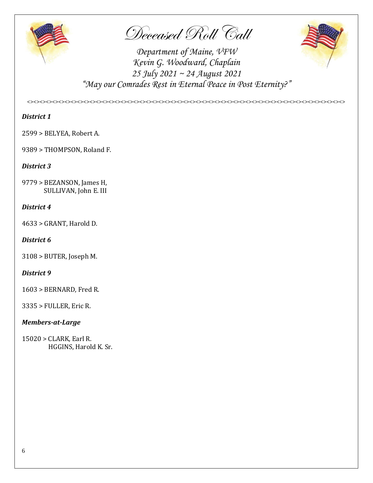

Deceased Roll Call



*Department of Maine, VFW Kevin G. Woodward, Chaplain 25 July 2021 ~ 24 August 2021 "May our Comrades Rest in Eternal Peace in Post Eternity?"*

*<><><><><><><><><><><><><><><><><><><><><><><><><><><><><><><><><><><><><><><><><><><><><><><><><><><>*

# *District 1*

2599 > BELYEA, Robert A.

9389 > THOMPSON, Roland F.

# *District 3*

9779 > BEZANSON, James H, SULLIVAN, John E. III

# *District 4*

4633 > GRANT, Harold D.

# *District 6*

3108 > BUTER, Joseph M.

# *District 9*

1603 > BERNARD, Fred R.

3335 > FULLER, Eric R.

# *Members-at-Large*

15020 > CLARK, Earl R. HGGINS, Harold K. Sr.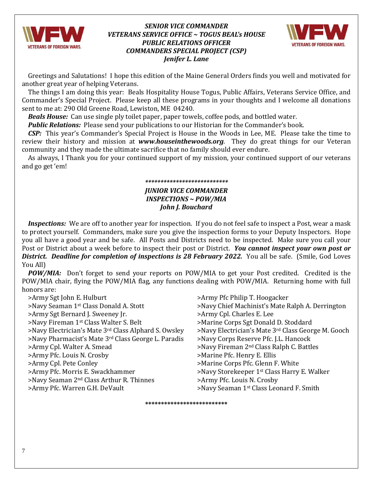

# *SENIOR VICE COMMANDER VETERANS SERVICE OFFICE ~ TOGUS BEAL's HOUSE PUBLIC RELATIONS OFFICER COMMANDERS SPECIAL PROJECT (CSP) Jenifer L. Lane*



 Greetings and Salutations! I hope this edition of the Maine General Orders finds you well and motivated for another great year of helping Veterans.

 The things I am doing this year: Beals Hospitality House Togus, Public Affairs, Veterans Service Office, and Commander's Special Project. Please keep all these programs in your thoughts and I welcome all donations sent to me at: 290 Old Greene Road, Lewiston, ME 04240.

*Beals House:* Can use single ply toilet paper, paper towels, coffee pods, and bottled water.

*Public Relations:* Please send your publications to our Historian for the Commander's book.

 *CSP:* This year's Commander's Special Project is House in the Woods in Lee, ME. Please take the time to review their history and mission at *[www.houseinthewoods.org](http://www.houseinthewoods.org/)*. They do great things for our Veteran community and they made the ultimate sacrifice that no family should ever endure.

 As always, I Thank you for your continued support of my mission, your continued support of our veterans and go get 'em!

# *\*\*\*\*\*\*\*\*\*\*\*\*\*\*\*\*\*\*\*\*\*\*\*\*\*\*\**

# *JUNIOR VICE COMMANDER INSPECTIONS ~ POW/MIA John J. Bouchard*

 *Inspections:* We are off to another year for inspection. If you do not feel safe to inspect a Post, wear a mask to protect yourself. Commanders, make sure you give the inspection forms to your Deputy Inspectors. Hope you all have a good year and be safe. All Posts and Districts need to be inspected. Make sure you call your Post or District about a week before to inspect their post or District. *You cannot inspect your own post or*  **District. Deadline for completion of inspections is 28 February 2022.** You all be safe. (Smile, God Loves You All)

 *POW/MIA:* Don't forget to send your reports on POW/MIA to get your Post credited. Credited is the POW/MIA chair, flying the POW/MIA flag, any functions dealing with POW/MIA. Returning home with full honors are:

| >Army Sgt John E. Hulburt                            | >Army Pfc Philip T. Hoogacker                           |
|------------------------------------------------------|---------------------------------------------------------|
| >Navy Seaman 1st Class Donald A. Stott               | >Navy Chief Machinist's Mate Ralph A. Derrington        |
| >Army Sgt Bernard J. Sweeney Jr.                     | >Army Cpl. Charles E. Lee                               |
| >Navy Fireman 1 <sup>st</sup> Class Walter S. Belt   | >Marine Corps Sgt Donald D. Stoddard                    |
| >Navy Electrician's Mate 3rd Class Alphard S. Owsley | >Navy Electrician's Mate 3rd Class George M. Gooch      |
| >Navy Pharmacist's Mate 3rd Class George L. Paradis  | >Navy Corps Reserve Pfc. J.L. Hancock                   |
| >Army Cpl. Walter A. Smead                           | >Navy Fireman 2 <sup>nd</sup> Class Ralph C. Battles    |
| >Army Pfc. Louis N. Crosby                           | >Marine Pfc. Henry E. Ellis                             |
| >Army Cpl. Pete Conley                               | >Marine Corps Pfc. Glenn F. White                       |
| >Army Pfc. Morris E. Swackhammer                     | >Navy Storekeeper 1 <sup>st</sup> Class Harry E. Walker |
| >Navy Seaman 2 <sup>nd</sup> Class Arthur R. Thinnes | >Army Pfc. Louis N. Crosby                              |
| >Army Pfc. Warren G.H. DeVault                       | >Navy Seaman 1st Class Leonard F. Smith                 |

**\*\*\*\*\*\*\*\*\*\*\*\*\*\*\*\*\*\*\*\*\*\*\*\*\*\***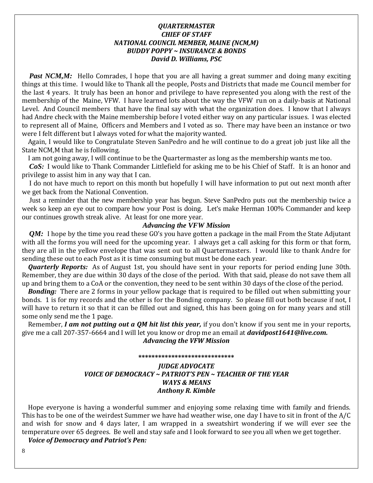# *QUARTERMASTER CHIEF OF STAFF NATIONAL COUNCIL MEMBER, MAINE (NCM,M) BUDDY POPPY ~ INSURANCE & BONDS David D. Williams, PSC*

*Past NCM,M:* Hello Comrades, I hope that you are all having a great summer and doing many exciting things at this time. I would like to Thank all the people, Posts and Districts that made me Council member for the last 4 years. It truly has been an honor and privilege to have represented you along with the rest of the membership of the Maine, VFW. I have learned lots about the way the VFW run on a daily-basis at National Level. And Council members that have the final say with what the organization does. I know that I always had Andre check with the Maine membership before I voted either way on any particular issues. I was elected to represent all of Maine, Officers and Members and I voted as so. There may have been an instance or two were I felt different but I always voted for what the majority wanted.

 Again, I would like to Congratulate Steven SanPedro and he will continue to do a great job just like all the State NCM,M that he is following.

I am not going away, I will continue to be the Quartermaster as long as the membership wants me too.

*CoS*: I would like to Thank Commander Littlefield for asking me to be his Chief of Staff. It is an honor and privilege to assist him in any way that I can.

 I do not have much to report on this month but hopefully I will have information to put out next month after we get back from the National Convention.

 Just a reminder that the new membership year has begun. Steve SanPedro puts out the membership twice a week so keep an eye out to compare how your Post is doing. Let's make Herman 100% Commander and keep our continues growth streak alive. At least for one more year.

### *Advancing the VFW Mission*

*QM*: I hope by the time you read these GO's you have gotten a package in the mail From the State Adjutant with all the forms you will need for the upcoming year. I always get a call asking for this form or that form, they are all in the yellow envelope that was sent out to all Quartermasters. I would like to thank Andre for sending these out to each Post as it is time consuming but must be done each year.

 *Quarterly Reports:* As of August 1st, you should have sent in your reports for period ending June 30th. Remember, they are due within 30 days of the close of the period. With that said, please do not save them all up and bring them to a CoA or the convention, they need to be sent within 30 days of the close of the period.

*Bonding:* There are 2 forms in your yellow package that is required to be filled out when submitting your bonds. 1 is for my records and the other is for the Bonding company. So please fill out both because if not, I will have to return it so that it can be filled out and signed, this has been going on for many years and still some only send me the 1 page.

 Remember, *I am not putting out a QM hit list this year,* if you don't know if you sent me in your reports, give me a call 207-357-6664 and I will let you know or drop me an email at *[davidpost1641@live.com.](mailto:davidpost1641@live.com) Advancing the VFW Mission*

#### **\*\*\*\*\*\*\*\*\*\*\*\*\*\*\*\*\*\*\*\*\*\*\*\*\*\*\*\*\***

# *JUDGE ADVOCATE VOICE OF DEMOCRACY ~ PATRIOT'S PEN ~ TEACHER OF THE YEAR WAYS & MEANS Anthony R. Kimble*

 Hope everyone is having a wonderful summer and enjoying some relaxing time with family and friends. This has to be one of the weirdest Summer we have had weather wise, one day I have to sit in front of the A/C and wish for snow and 4 days later, I am wrapped in a sweatshirt wondering if we will ever see the temperature over 65 degrees. Be well and stay safe and I look forward to see you all when we get together.

 *Voice of Democracy and Patriot's Pen:*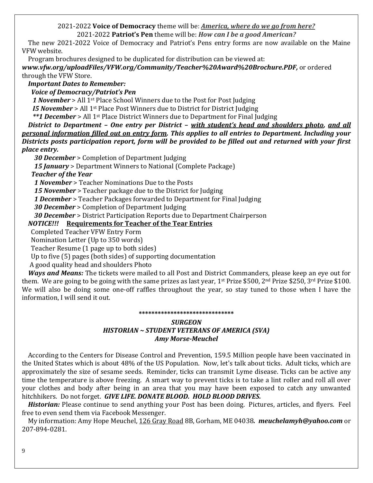# 2021-2022 **Voice of Democracy** theme will be: *America, where do we go from here?* 2021-2022 **Patriot's Pen** theme will be: *How can I be a good American?*

 The new 2021-2022 Voice of Democracy and Patriot's Pens entry forms are now available on the Maine VFW website.

Program brochures designed to be duplicated for distribution can be viewed at:

*[www.vfw.org/uploadFiles/VFW.org/Community/Teacher%20Award%20Brochure.PDF,](http://www.vfw.org/uploadFiles/VFW.org/Community/Teacher%20Award%20Brochure.PDF)* or ordered through the VFW Store.

*Important Dates to Remember:*

 *Voice of Democracy/Patriot's Pen*

*1 November* > All 1st Place School Winners due to the Post for Post Judging

*I5 November* > All 1st Place Post Winners due to District for District Judging

*\*\*1 December* > All 1st Place District Winners due to Department for Final Judging

 *District to Department – One entry per District – with student's head and shoulders photo, and all personal information filled out on entry form. This applies to all entries to Department. Including your Districts posts participation report, form will be provided to be filled out and returned with your first place entry.*

*30 December* > Completion of Department Judging

 *15 January* > Department Winners to National (Complete Package)

 *Teacher of the Year*

*1 November* > Teacher Nominations Due to the Posts

*15 November* > Teacher package due to the District for Judging

*1 December* > Teacher Packages forwarded to Department for Final Judging

*30 December* > Completion of Department Judging

*30 December* > District Participation Reports due to Department Chairperson

# *NOTICE!!!* **Requirements for Teacher of the Tear Entries**

Completed Teacher VFW Entry Form

Nomination Letter (Up to 350 words)

Teacher Resume (1 page up to both sides)

Up to five (5) pages (both sides) of supporting documentation

A good quality head and shoulders Photo

 *Ways and Means:* The tickets were mailed to all Post and District Commanders, please keep an eye out for them. We are going to be going with the same prizes as last year, 1st Prize \$500, 2<sup>nd</sup> Prize \$250, 3<sup>rd</sup> Prize \$100. We will also be doing some one-off raffles throughout the year, so stay tuned to those when I have the information, I will send it out.

### **\*\*\*\*\*\*\*\*\*\*\*\*\*\*\*\*\*\*\*\*\*\*\*\*\*\*\*\*\*\***

# *SURGEON HISTORIAN ~ STUDENT VETERANS OF AMERICA (SVA) Amy Morse-Meuchel*

 According to the Centers for Disease Control and Prevention, 159.5 Million people have been vaccinated in the United States which is about 48% of the US Population. Now, let's talk about ticks. Adult ticks, which are approximately the size of sesame seeds. Reminder, ticks can transmit Lyme disease. Ticks can be active any time the temperature is above freezing. A smart way to prevent ticks is to take a lint roller and roll all over your clothes and body after being in an area that you may have been exposed to catch any unwanted hitchhikers. Do not forget. *GIVE LIFE. DONATE BLOOD. HOLD BLOOD DRIVES.*

 *Historian:* Please continue to send anything your Post has been doing. Pictures, articles, and flyers. Feel free to even send them via Facebook Messenger.

 My information: Amy Hope Meuchel, 126 Gray Road 8B, Gorham, ME 04038*. [meuchelamyh@yahoo.com](mailto:meuchelamyh@yahoo.com)* or 207-894-0281.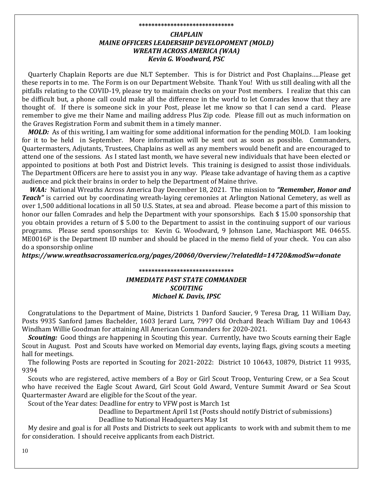#### **\*\*\*\*\*\*\*\*\*\*\*\*\*\*\*\*\*\*\*\*\*\*\*\*\*\*\*\*\*\***

# *CHAPLAIN MAINE OFFICERS LEADERSHIP DEVELOPOMENT (MOLD) WREATH ACROSS AMERICA (WAA) Kevin G. Woodward, PSC*

 Quarterly Chaplain Reports are due NLT September. This is for District and Post Chaplains…..Please get these reports in to me. The Form is on our Department Website. Thank You! With us still dealing with all the pitfalls relating to the COVID-19, please try to maintain checks on your Post members. I realize that this can be difficult but, a phone call could make all the difference in the world to let Comrades know that they are thought of. If there is someone sick in your Post, please let me know so that I can send a card. Please remember to give me their Name and mailing address Plus Zip code. Please fill out as much information on the Graves Registration Form and submit them in a timely manner.

 *MOLD:* As of this writing, I am waiting for some additional information for the pending MOLD. I am looking for it to be held in September. More information will be sent out as soon as possible. Commanders, Quartermasters, Adjutants, Trustees, Chaplains as well as any members would benefit and are encouraged to attend one of the sessions. As I stated last month, we have several new individuals that have been elected or appointed to positions at both Post and District levels. This training is designed to assist those individuals. The Department Officers are here to assist you in any way. Please take advantage of having them as a captive audience and pick their brains in order to help the Department of Maine thrive.

 *WAA:* National Wreaths Across America Day December 18, 2021. The mission to *"Remember, Honor and Teach"* is carried out by coordinating wreath-laying ceremonies at Arlington National Cemetery, as well as over 1,500 additional locations in all 50 U.S. States, at sea and abroad. Please become a part of this mission to honor our fallen Comrades and help the Department with your sponsorships. Each \$ 15.00 sponsorship that you obtain provides a return of \$ 5.00 to the Department to assist in the continuing support of our various programs. Please send sponsorships to: Kevin G. Woodward, 9 Johnson Lane, Machiasport ME. 04655. ME0016P is the Department ID number and should be placed in the memo field of your check. You can also do a sponsorship online

*https://www.wreathsacrossamerica.org/pages/20060/Overview/?relatedId=14720&modSw=donate*

# **\*\*\*\*\*\*\*\*\*\*\*\*\*\*\*\*\*\*\*\*\*\*\*\*\*\*\*\*\*\*** *IMMEDIATE PAST STATE COMMANDER SCOUTING Michael K. Davis, IPSC*

 Congratulations to the Department of Maine, Districts 1 Danford Saucier, 9 Teresa Drag, 11 William Day, Posts 9935 Sanford James Bachelder, 1603 Jerard Lurz, 7997 Old Orchard Beach William Day and 10643 Windham Willie Goodman for attaining All American Commanders for 2020-2021.

 *Scouting:* Good things are happening in Scouting this year. Currently, have two Scouts earning their Eagle Scout in August. Post and Scouts have worked on Memorial day events, laying flags, giving scouts a meeting hall for meetings.

 The following Posts are reported in Scouting for 2021-2022: District 10 10643, 10879, District 11 9935, 9394

 Scouts who are registered, active members of a Boy or Girl Scout Troop, Venturing Crew, or a Sea Scout who have received the Eagle Scout Award, Girl Scout Gold Award, Venture Summit Award or Sea Scout Quartermaster Award are eligible for the Scout of the year.

Scout of the Year dates: Deadline for entry to VFW post is March 1st

 Deadline to Department April 1st (Posts should notify District of submissions) Deadline to National Headquarters May 1st

 My desire and goal is for all Posts and Districts to seek out applicants to work with and submit them to me for consideration. I should receive applicants from each District.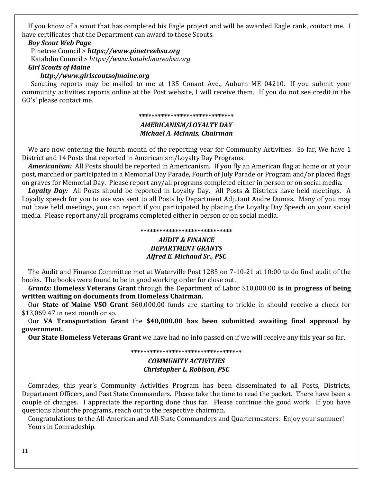If you know of a scout that has completed his Eagle project and will be awarded Eagle rank, contact me. I have certificates that the Department can award to those Scouts.

# *Boy Scout Web Page*

 Pinetree Council > *[https://www.pinetreebsa.org](https://www.pinetreebsa.org/)* Katahdin Council > *[https://www.katahdinareabsa.org](https://www.katahdinareabsa.org/)*

# *Girl Scouts of Maine*

# *[http://www.girlscoutsofmaine.org](http://www.girlscoutsofmaine.org/)*

 Scouting reports may be mailed to me at 135 Conant Ave., Auburn ME 04210. If you submit your community activities reports online at the Post website, I will receive them. If you do not see credit in the GO's' please contact me.

### **\*\*\*\*\*\*\*\*\*\*\*\*\*\*\*\*\*\*\*\*\*\*\*\*\*\*\*\*\*\***

### *AMERICANISM/LOYALTY DAY Michael A. McInnis, Chairman*

We are now entering the fourth month of the reporting year for Community Activities. So far, We have 1 District and 14 Posts that reported in Americanism/Loyalty Day Programs.

 *Americanism:* All Posts should be reported in Americanism. If you fly an American flag at home or at your post, marched or participated in a Memorial Day Parade, Fourth of July Parade or Program and/or placed flags on graves for Memorial Day. Please report any/all programs completed either in person or on social media.

 *Loyalty Day:* All Posts should be reported in Loyalty Day. All Posts & Districts have held meetings. A Loyalty speech for you to use was sent to all Posts by Department Adjutant Andre Dumas. Many of you may not have held meetings, you can report if you participated by placing the Loyalty Day Speech on your social media. Please report any/all programs completed either in person or on social media.

### **\*\*\*\*\*\*\*\*\*\*\*\*\*\*\*\*\*\*\*\*\*\*\*\*\*\*\*\*\***

# *AUDIT & FINANCE DEPARTMENT GRANTS Alfred E. Michaud Sr., PSC*

 The Audit and Finance Committee met at Waterville Post 1285 on 7-10-21 at 10:00 to do final audit of the books. The books were found to be in good working order for close out.

 *Grants:* **Homeless Veterans Grant** through the Department of Labor \$10,000.00 **is in progress of being written waiting on documents from Homeless Chairman.**

 Our **State of Maine VSO Grant** \$60,000.00 funds are starting to trickle in should receive a check for \$13,069.47 in next month or so.

 Our **VA Transportation Grant** the **\$40,000.00 has been submitted awaiting final approval by government.** 

 **Our State Homeless Veterans Grant** we have had no info passed on if we will receive any this year so far.

# **\*\*\*\*\*\*\*\*\*\*\*\*\*\*\*\*\*\*\*\*\*\*\*\*\*\*\*\*\*\*\*\*\*\*\***

### *COMMUNITY ACTIVITIES Christopher L. Robison, PSC*

 Comrades, this year's Community Activities Program has been disseminated to all Posts, Districts, Department Officers, and Past State Commanders. Please take the time to read the packet. There have been a couple of changes. I appreciate the reporting done thus far. Please continue the good work. If you have questions about the programs, reach out to the respective chairman.

 Congratulations to the All-American and All-State Commanders and Quartermasters. Enjoy your summer! Yours in Comradeship.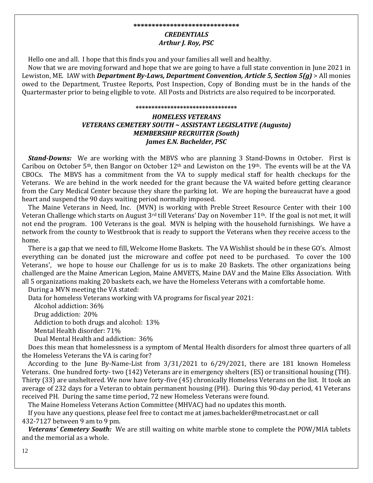# *CREDENTIALS Arthur J. Roy, PSC*

Hello one and all. I hope that this finds you and your families all well and healthy.

 Now that we are moving forward and hope that we are going to have a full state convention in June 2021 in Lewiston, ME. IAW with *Department By-Laws, Department Convention, Article 5, Section 5(g)* > All monies owed to the Department, Trustee Reports, Post Inspection, Copy of Bonding must be in the hands of the Quartermaster prior to being eligible to vote. All Posts and Districts are also required to be incorporated.

#### **\*\*\*\*\*\*\*\*\*\*\*\*\*\*\*\*\*\*\*\*\*\*\*\*\*\*\*\*\*\*\*\***

# *HOMELESS VETERANS VETERANS CEMETERY SOUTH ~ ASSISTANT LEGISLATIVE (Augusta) MEMBERSHIP RECRUITER (South) James E.N. Bachelder, PSC*

 *Stand-Downs:* We are working with the MBVS who are planning 3 Stand-Downs in October. First is Caribou on October 5<sup>th</sup>, then Bangor on October 12<sup>th</sup> and Lewiston on the 19<sup>th</sup>. The events will be at the VA CBOCs. The MBVS has a commitment from the VA to supply medical staff for health checkups for the Veterans. We are behind in the work needed for the grant because the VA waited before getting clearance from the Cary Medical Center because they share the parking lot. We are hoping the bureaucrat have a good heart and suspend the 90 days waiting period normally imposed.

 The Maine Veterans in Need, Inc. (MVN) is working with Preble Street Resource Center with their 100 Veteran Challenge which starts on August  $3^{rd}$  till Veterans' Day on November  $11^{th}$ . If the goal is not met, it will not end the program. 100 Veterans is the goal. MVN is helping with the household furnishings. We have a network from the county to Westbrook that is ready to support the Veterans when they receive access to the home.

 There is a gap that we need to fill, Welcome Home Baskets. The VA Wishlist should be in these GO's. Almost everything can be donated just the microware and coffee pot need to be purchased. To cover the 100 Veterans', we hope to house our Challenge for us is to make 20 Baskets. The other organizations being challenged are the Maine American Legion, Maine AMVETS, Maine DAV and the Maine Elks Association. With all 5 organizations making 20 baskets each, we have the Homeless Veterans with a comfortable home.

During a MVN meeting the VA stated:

Data for homeless Veterans working with VA programs for fiscal year 2021:

Alcohol addiction: 36%

Drug addiction: 20%

Addiction to both drugs and alcohol: 13%

Mental Health disorder: 71%

Dual Mental Health and addiction: 36%

 Does this mean that homelessness is a symptom of Mental Health disorders for almost three quarters of all the Homeless Veterans the VA is caring for?

 According to the June By-Name-List from 3/31/2021 to 6/29/2021, there are 181 known Homeless Veterans. One hundred forty- two (142) Veterans are in emergency shelters (ES) or transitional housing (TH). Thirty (33) are unsheltered. We now have forty-five (45) chronically Homeless Veterans on the list. It took an average of 232 days for a Veteran to obtain permanent housing (PH). During this 90-day period, 41 Veterans received PH. During the same time period, 72 new Homeless Veterans were found.

The Maine Homeless Veterans Action Committee (MHVAC) had no updates this month.

 If you have any questions, please feel free to contact me at james.bachelder@metrocast.net or call 432-7127 between 9 am to 9 pm.

 *Veterans' Cemetery South:* We are still waiting on white marble stone to complete the POW/MIA tablets and the memorial as a whole.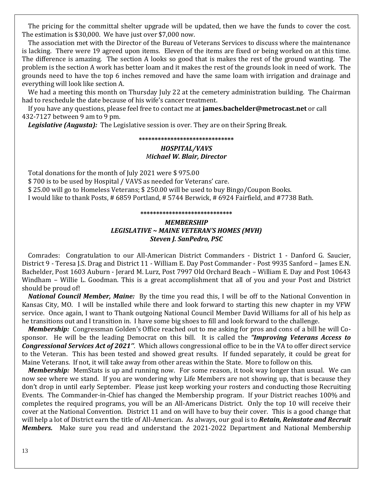The pricing for the committal shelter upgrade will be updated, then we have the funds to cover the cost. The estimation is \$30,000. We have just over \$7,000 now.

 The association met with the Director of the Bureau of Veterans Services to discuss where the maintenance is lacking. There were 19 agreed upon items. Eleven of the items are fixed or being worked on at this time. The difference is amazing. The section A looks so good that is makes the rest of the ground wanting. The problem is the section A work has better loam and it makes the rest of the grounds look in need of work. The grounds need to have the top 6 inches removed and have the same loam with irrigation and drainage and everything will look like section A.

We had a meeting this month on Thursday July 22 at the cemetery administration building. The Chairman had to reschedule the date because of his wife's cancer treatment.

 If you have any questions, please feel free to contact me at **james.bachelder@metrocast.net** or call 432-7127 between 9 am to 9 pm.

*Legislative (Augusta):* The Legislative session is over. They are on their Spring Break.

### **\*\*\*\*\*\*\*\*\*\*\*\*\*\*\*\*\*\*\*\*\*\*\*\*\*\*\*\*\*\***

# *HOSPITAL/VAVS Michael W. Blair, Director*

 Total donations for the month of July 2021 were \$ 975.00 \$ 700 is to be used by Hospital / VAVS as needed for Veterans' care. \$ 25.00 will go to Homeless Veterans; \$ 250.00 will be used to buy Bingo/Coupon Books. I would like to thank Posts, # 6859 Portland, # 5744 Berwick, # 6924 Fairfield, and #7738 Bath.

#### **\*\*\*\*\*\*\*\*\*\*\*\*\*\*\*\*\*\*\*\*\*\*\*\*\*\*\*\*\***

# *MEMBERSHIP LEGISLATIVE ~ MAINE VETERAN'S HOMES (MVH) Steven J. SanPedro, PSC*

 Comrades: Congratulation to our All-American District Commanders - District 1 - Danford G. Saucier, District 9 - Teresa J.S. Drag and District 11 - William E. Day Post Commander - Post 9935 Sanford – James E.N. Bachelder, Post 1603 Auburn - Jerard M. Lurz, Post 7997 Old Orchard Beach – William E. Day and Post 10643 Windham – Willie L. Goodman. This is a great accomplishment that all of you and your Post and District should be proud of!

 *National Council Member, Maine:* By the time you read this, I will be off to the National Convention in Kansas City, MO. I will be installed while there and look forward to starting this new chapter in my VFW service. Once again, I want to Thank outgoing National Council Member David Williams for all of his help as he transitions out and I transition in. I have some big shoes to fill and look forward to the challenge.

*Membership:* Congressman Golden's Office reached out to me asking for pros and cons of a bill he will Cosponsor. He will be the leading Democrat on this bill. It is called the *"Improving Veterans Access to Congressional Services Act of 2021''*. Which allows congressional office to be in the VA to offer direct service to the Veteran. This has been tested and showed great results. If funded separately, it could be great for Maine Veterans. If not, it will take away from other areas within the State. More to follow on this.

 *Membership:* MemStats is up and running now. For some reason, it took way longer than usual. We can now see where we stand. If you are wondering why Life Members are not showing up, that is because they don't drop in until early September. Please just keep working your rosters and conducting those Recruiting Events. The Commander-in-Chief has changed the Membership program. If your District reaches 100% and completes the required programs, you will be an All-Americans District. Only the top 10 will receive their cover at the National Convention. District 11 and on will have to buy their cover. This is a good change that will help a lot of District earn the title of All-American. As always, our goal is to *Retain, Reinstate and Recruit Members.* Make sure you read and understand the 2021-2022 Department and National Membership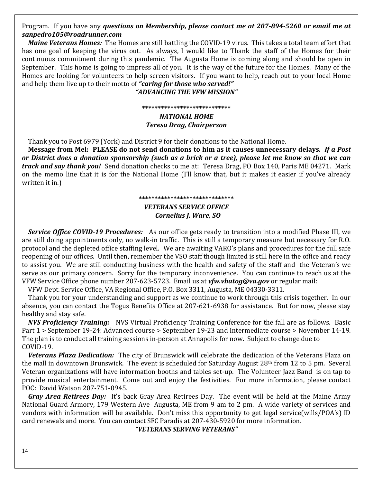# Program. If you have any *questions on Membership, please contact me at 207-894-5260 or email me at [sanpedro105@roadrunner.com](mailto:sanpedro105@roadrunner.com)*

 *Maine Veterans Homes:* The Homes are still battling the COVID-19 virus. This takes a total team effort that has one goal of keeping the virus out. As always, I would like to Thank the staff of the Homes for their continuous commitment during this pandemic. The Augusta Home is coming along and should be open in September. This home is going to impress all of you. It is the way of the future for the Homes. Many of the Homes are looking for volunteers to help screen visitors. If you want to help, reach out to your local Home and help them live up to their motto of *"caring for those who served!"*

# *"ADVANCING THE VFW MISSION"*

# **\*\*\*\*\*\*\*\*\*\*\*\*\*\*\*\*\*\*\*\*\*\*\*\*\*\*\*\*** *NATIONAL HOME Teresa Drag, Chairperson*

Thank you to Post 6979 (York) and District 9 for their donations to the National Home.

 **Message from Mel: PLEASE do not send donations to him as it causes unnecessary delays.** *If a Post or District does a donation sponsorship (such as a brick or a tree), please let me know so that we can track and say thank you!* Send donation checks to me at: Teresa Drag, PO Box 140, Paris ME 04271. Mark on the memo line that it is for the National Home (I'll know that, but it makes it easier if you've already written it in.)

# **\*\*\*\*\*\*\*\*\*\*\*\*\*\*\*\*\*\*\*\*\*\*\*\*\*\*\*\*\*\*** *VETERANS SERVICE OFFICE*

# *Cornelius J. Ware, SO*

 *Service Office COVID-19 Procedures:*As our office gets ready to transition into a modified Phase III, we are still doing appointments only, no walk-in traffic. This is still a temporary measure but necessary for R.O. protocol and the depleted office staffing level. We are awaiting VARO's plans and procedures for the full safe reopening of our offices. Until then, remember the VSO staff though limited is still here in the office and ready to assist you. We are still conducting business with the health and safety of the staff and the Veteran's we serve as our primary concern. Sorry for the temporary inconvenience. You can continue to reach us at the VFW Service Office phone number 207-623-5723. Email us at *[vfw.vbatog@va.gov](mailto:vfw.vbatog@va.gov)* or regular mail:

VFW Dept. Service Office, VA Regional Office, P.O. Box 3311, Augusta, ME 04330-3311.

 Thank you for your understanding and support as we continue to work through this crisis together. In our absence, you can contact the Togus Benefits Office at 207-621-6938 for assistance. But for now, please stay healthy and stay safe.

 *NVS Proficiency Training:*NVS Virtual Proficiency Training Conference for the fall are as follows. Basic Part 1 > September 19-24: Advanced course > September 19-23 and Intermediate course > November 14-19. The plan is to conduct all training sessions in-person at Annapolis for now. Subject to change due to COVID-19.

*Veterans Plaza Dedication:*The city of Brunswick will celebrate the dedication of the Veterans Plaza on the mall in downtown Brunswick. The event is scheduled for Saturday August 28th from 12 to 5 pm. Several Veteran organizations will have information booths and tables set-up. The Volunteer Jazz Band is on tap to provide musical entertainment. Come out and enjoy the festivities. For more information, please contact POC: David Watson 207-751-0945.

*Gray Area Retirees Day:*It's back Gray Area Retirees Day. The event will be held at the Maine Army National Guard Armory, 179 Western Ave Augusta, ME from 9 am to 2 pm. A wide variety of services and vendors with information will be available. Don't miss this opportunity to get legal service(wills/POA's) ID card renewals and more. You can contact SFC Paradis at 207-430-5920 for more information.

*"VETERANS SERVING VETERANS"*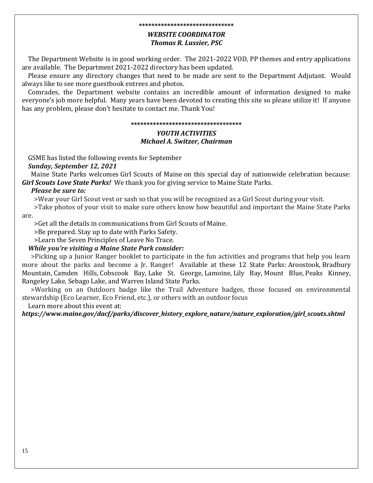### **\*\*\*\*\*\*\*\*\*\*\*\*\*\*\*\*\*\*\*\*\*\*\*\*\*\*\*\*\*\***

# *WEBSITE COORDINATOR Thomas R. Lussier, PSC*

 The Department Website is in good working order. The 2021-2022 VOD, PP themes and entry applications are available. The Department 2021-2022 directory has been updated.

 Please ensure any directory changes that need to be made are sent to the Department Adjutant. Would always like to see more guestbook entrees and photos.

 Comrades, the Department website contains an incredible amount of information designed to make everyone's job more helpful. Many years have been devoted to creating this site so please utilize it! If anyone has any problem, please don't hesitate to contact me. Thank You!

### **\*\*\*\*\*\*\*\*\*\*\*\*\*\*\*\*\*\*\*\*\*\*\*\*\*\*\*\*\*\*\*\*\*\*\***

# *YOUTH ACTIVITIES Michael A. Switzer, Chairman*

 GSME has listed the following events for September  *Sunday, September 12, 2021*

 Maine State Parks welcomes [Girl Scouts of Maine](https://www.girlscoutsofmaine.org/) on this special day of nationwide celebration because: *Girl Scouts Love State Parks!* We thank you for giving service to Maine State Parks.

# *Please be sure to:*

>Wear your Girl Scout vest or sash so that you will be recognized as a Girl Scout during your visit.

>Take photos of your visit to make sure others know how beautiful and important the Maine State Parks

are.

>Get all the details in communications from [Girl Scouts of Maine.](https://www.girlscoutsofmaine.org/)

>Be prepared. Stay up to [date with Parks Safety.](https://www.maine.gov/dacf/parks/safety/index.shtml)

>Learn the [Seven Principles of Leave No Trace.](https://lnt.org/why/7-principles/)

# *While you're visiting a Maine State Park consider:*

 >Picking up a Junior Ranger booklet to participate in the fun activities and programs that help you learn more about the parks and become a Jr. Ranger! Available at these 12 State Parks: [Aroostook,](https://www.maine.gov/cgi-bin/online/doc/parksearch/details.pl?park_id=7) [Bradbury](https://www.maine.gov/cgi-bin/online/doc/parksearch/details.pl?park_id=12)  [Mountain,](https://www.maine.gov/cgi-bin/online/doc/parksearch/details.pl?park_id=12) [Camden Hills,](https://www.maine.gov/cgi-bin/online/doc/parksearch/details.pl?park_id=14) [Cobscook Bay,](https://www.maine.gov/cgi-bin/online/doc/parksearch/details.pl?park_id=15) [Lake St. George,](https://www.maine.gov/cgi-bin/online/doc/parksearch/details.pl?park_id=27) [Lamoine,](https://www.maine.gov/cgi-bin/online/doc/parksearch/details.pl?park_id=16) [Lily Bay,](https://www.maine.gov/cgi-bin/online/doc/parksearch/details.pl?park_id=17) [Mount Blue,](https://www.maine.gov/cgi-bin/online/doc/parksearch/details.pl?park_id=18) Peaks [Kinney,](https://www.maine.gov/cgi-bin/online/doc/parksearch/details.pl?park_id=20)  [Rangeley L](https://www.maine.gov/cgi-bin/online/doc/parksearch/details.pl?park_id=20)ake, Sebago Lake, and [Warren Island State Parks.](https://www.maine.gov/cgi-bin/online/doc/parksearch/details.pl?park_id=30)

 >Working on an Outdoors badge like the Trail Adventure badges, those focused on environmental stewardship (Eco Learner, Eco Friend, etc.), or others with an outdoor focus

Learn more about this event at:

*https://www.maine.gov/dacf/parks/discover\_history\_explore\_nature/nature\_exploration/girl\_scouts.shtml*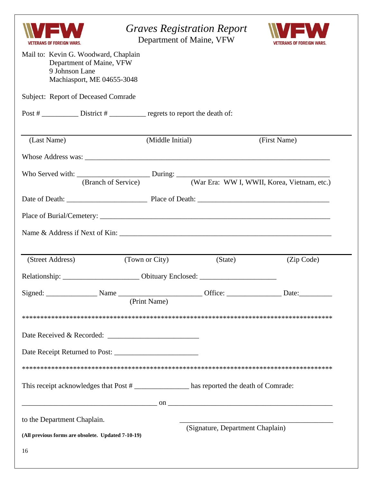| ERANS OF FOREIGN WARS<br>Mail to: Kevin G. Woodward, Chaplain<br>Department of Maine, VFW<br>9 Johnson Lane | <b>Graves Registration Report</b><br>Department of Maine, VFW                                                                                                                                                                                                              |                                             |
|-------------------------------------------------------------------------------------------------------------|----------------------------------------------------------------------------------------------------------------------------------------------------------------------------------------------------------------------------------------------------------------------------|---------------------------------------------|
| Machiasport, ME 04655-3048                                                                                  |                                                                                                                                                                                                                                                                            |                                             |
| Subject: Report of Deceased Comrade                                                                         |                                                                                                                                                                                                                                                                            |                                             |
|                                                                                                             |                                                                                                                                                                                                                                                                            |                                             |
| (Last Name)                                                                                                 | (Middle Initial)                                                                                                                                                                                                                                                           | (First Name)                                |
|                                                                                                             |                                                                                                                                                                                                                                                                            |                                             |
| (Branch of Service)                                                                                         | Who Served with: $\frac{During:}{N/m E_{TO} N/WH N/WH K_{OFG} N/WH N}$                                                                                                                                                                                                     | (War Era: WW I, WWII, Korea, Vietnam, etc.) |
|                                                                                                             |                                                                                                                                                                                                                                                                            |                                             |
|                                                                                                             |                                                                                                                                                                                                                                                                            |                                             |
|                                                                                                             |                                                                                                                                                                                                                                                                            |                                             |
| (Street Address)                                                                                            | (Town or City)<br>(State)                                                                                                                                                                                                                                                  | (Zip Code)                                  |
|                                                                                                             |                                                                                                                                                                                                                                                                            |                                             |
|                                                                                                             | Relationship: ____________________________ Obituary Enclosed: ___________________                                                                                                                                                                                          |                                             |
|                                                                                                             | Signed: ___________________Name ____________________________Office: __________________Date:___________________                                                                                                                                                             |                                             |
|                                                                                                             | (Print Name)                                                                                                                                                                                                                                                               |                                             |
|                                                                                                             |                                                                                                                                                                                                                                                                            |                                             |
|                                                                                                             |                                                                                                                                                                                                                                                                            |                                             |
|                                                                                                             |                                                                                                                                                                                                                                                                            |                                             |
|                                                                                                             |                                                                                                                                                                                                                                                                            |                                             |
|                                                                                                             | This receipt acknowledges that Post # ________________ has reported the death of Comrade:                                                                                                                                                                                  |                                             |
|                                                                                                             | $\sim$ 00 $\sim$ 00 $\sim$ 00 $\sim$ 00 $\sim$ 0.00 $\sim$ 0.000 $\sim$ 0.000 $\sim$ 0.000 $\sim$ 0.000 $\sim$ 0.000 $\sim$ 0.000 $\sim$ 0.000 $\sim$ 0.000 $\sim$ 0.000 $\sim$ 0.000 $\sim$ 0.000 $\sim$ 0.000 $\sim$ 0.000 $\sim$ 0.000 $\sim$ 0.000 $\sim$ 0.000 $\sim$ |                                             |